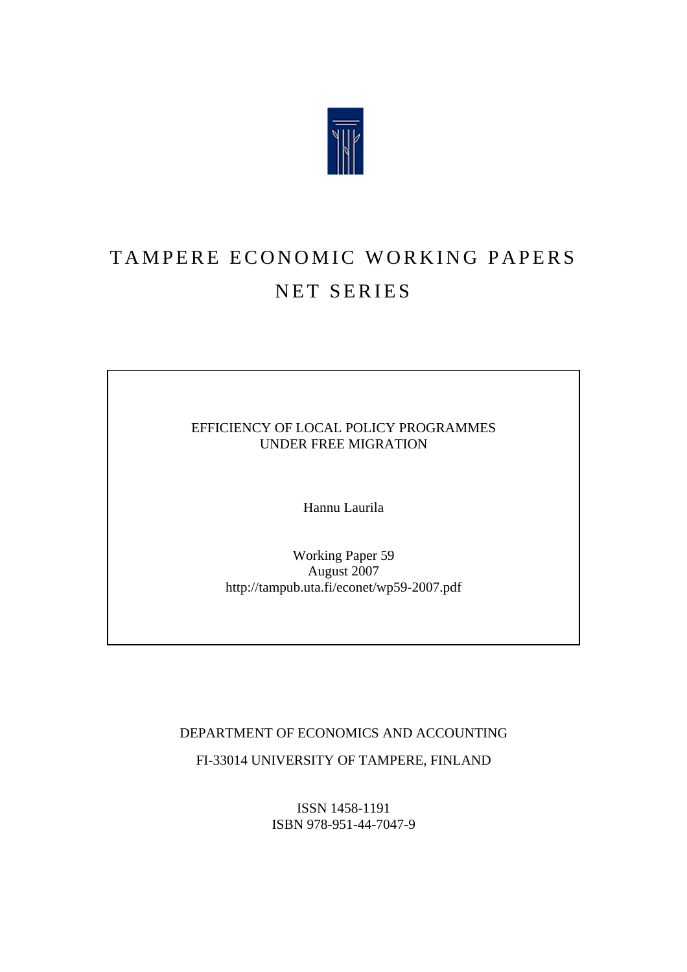

# TAMPERE ECONOMIC WORKING PAPERS NET SERIES

EFFICIENCY OF LOCAL POLICY PROGRAMMES UNDER FREE MIGRATION

Hannu Laurila

Working Paper 59 August 2007 http://tampub.uta.fi/econet/wp59-2007.pdf

DEPARTMENT OF ECONOMICS AND ACCOUNTING

FI-33014 UNIVERSITY OF TAMPERE, FINLAND

ISSN 1458-1191 ISBN 978-951-44-7047-9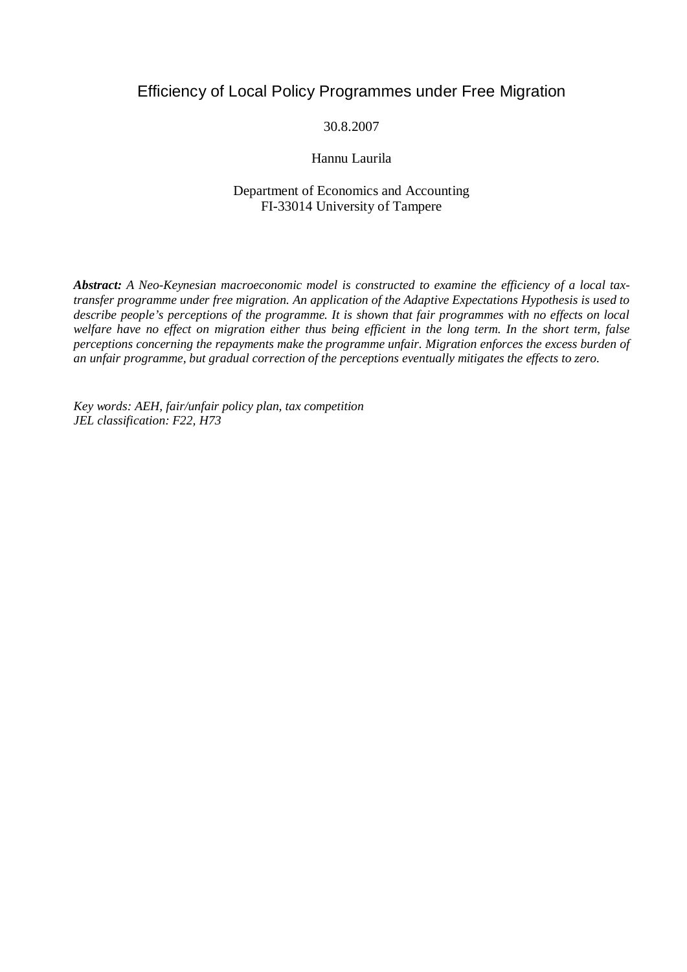## Efficiency of Local Policy Programmes under Free Migration

#### 30.8.2007

#### Hannu Laurila

#### Department of Economics and Accounting FI-33014 University of Tampere

*Abstract: A Neo-Keynesian macroeconomic model is constructed to examine the efficiency of a local taxtransfer programme under free migration. An application of the Adaptive Expectations Hypothesis is used to describe people's perceptions of the programme. It is shown that fair programmes with no effects on local welfare have no effect on migration either thus being efficient in the long term. In the short term, false perceptions concerning the repayments make the programme unfair. Migration enforces the excess burden of an unfair programme, but gradual correction of the perceptions eventually mitigates the effects to zero.*

*Key words: AEH, fair/unfair policy plan, tax competition JEL classification: F22, H73*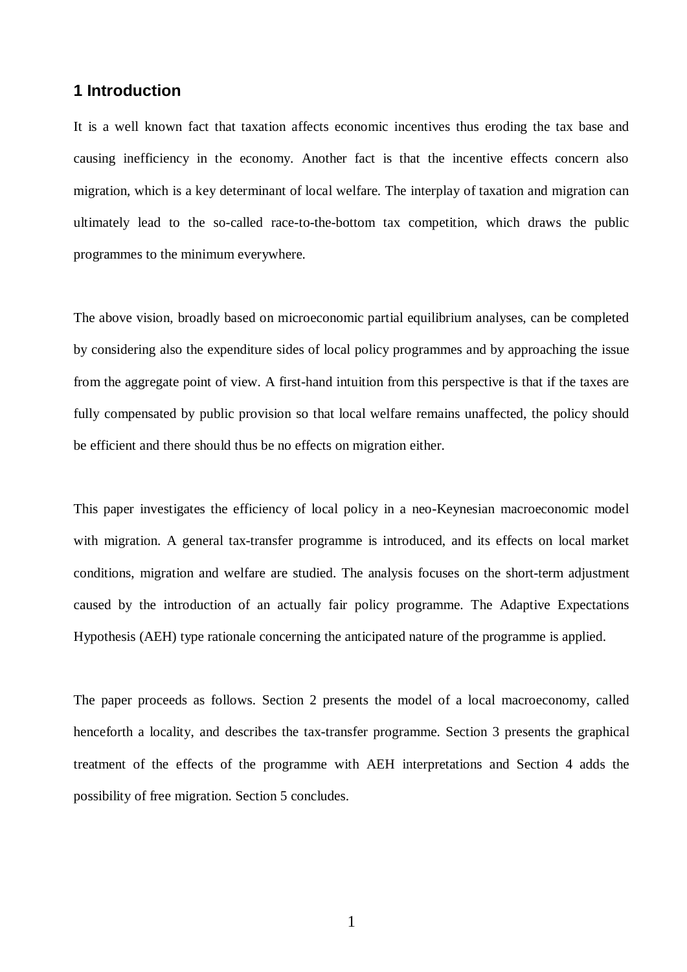## **1 Introduction**

It is a well known fact that taxation affects economic incentives thus eroding the tax base and causing inefficiency in the economy. Another fact is that the incentive effects concern also migration, which is a key determinant of local welfare. The interplay of taxation and migration can ultimately lead to the so-called race-to-the-bottom tax competition, which draws the public programmes to the minimum everywhere.

The above vision, broadly based on microeconomic partial equilibrium analyses, can be completed by considering also the expenditure sides of local policy programmes and by approaching the issue from the aggregate point of view. A first-hand intuition from this perspective is that if the taxes are fully compensated by public provision so that local welfare remains unaffected, the policy should be efficient and there should thus be no effects on migration either.

This paper investigates the efficiency of local policy in a neo-Keynesian macroeconomic model with migration. A general tax-transfer programme is introduced, and its effects on local market conditions, migration and welfare are studied. The analysis focuses on the short-term adjustment caused by the introduction of an actually fair policy programme. The Adaptive Expectations Hypothesis (AEH) type rationale concerning the anticipated nature of the programme is applied.

The paper proceeds as follows. Section 2 presents the model of a local macroeconomy, called henceforth a locality, and describes the tax-transfer programme. Section 3 presents the graphical treatment of the effects of the programme with AEH interpretations and Section 4 adds the possibility of free migration. Section 5 concludes.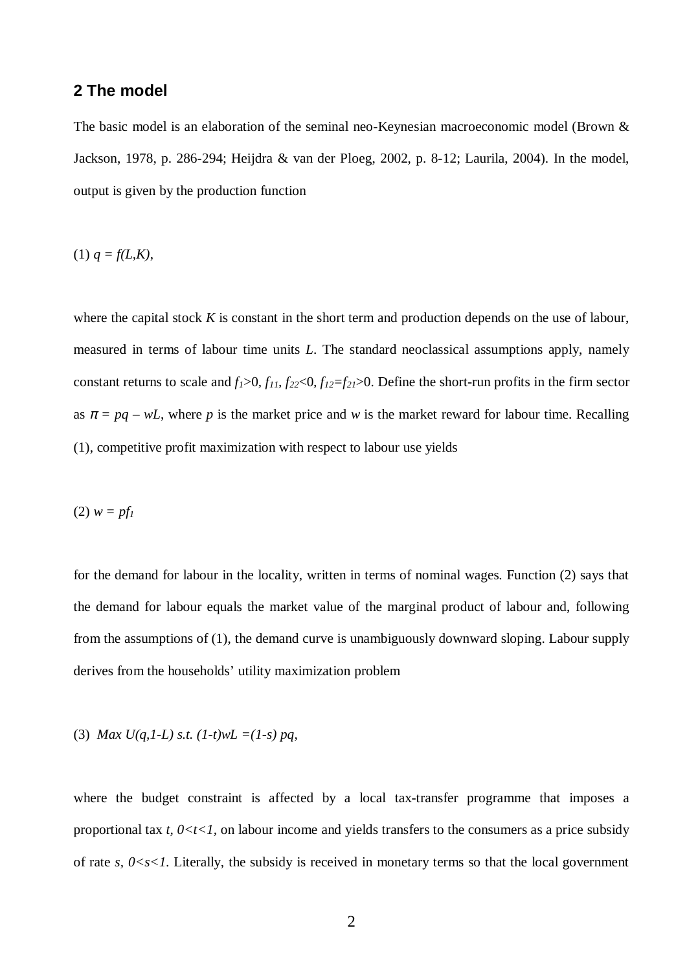#### **2 The model**

The basic model is an elaboration of the seminal neo-Keynesian macroeconomic model (Brown & Jackson, 1978, p. 286-294; Heijdra & van der Ploeg, 2002, p. 8-12; Laurila, 2004). In the model, output is given by the production function

(1)  $q = f(L,K)$ ,

where the capital stock *K* is constant in the short term and production depends on the use of labour, measured in terms of labour time units *L*. The standard neoclassical assumptions apply, namely constant returns to scale and  $f_1 > 0$ ,  $f_1$ ,  $f_2 \ge 0$ ,  $f_1 \ge -f_2$ ,  $\ge 0$ . Define the short-run profits in the firm sector as  $\pi = pq - wL$ , where p is the market price and w is the market reward for labour time. Recalling (1), competitive profit maximization with respect to labour use yields

(2) *w = pf<sup>1</sup>*

for the demand for labour in the locality, written in terms of nominal wages. Function (2) says that the demand for labour equals the market value of the marginal product of labour and, following from the assumptions of (1), the demand curve is unambiguously downward sloping. Labour supply derives from the households' utility maximization problem

(3) Max 
$$
U(q, 1-L)
$$
 s.t.  $(1-t)wL = (1-s)pq$ ,

where the budget constraint is affected by a local tax-transfer programme that imposes a proportional tax *t*,  $0 \lt t \lt 1$ , on labour income and yields transfers to the consumers as a price subsidy of rate  $s$ ,  $0 < s < 1$ . Literally, the subsidy is received in monetary terms so that the local government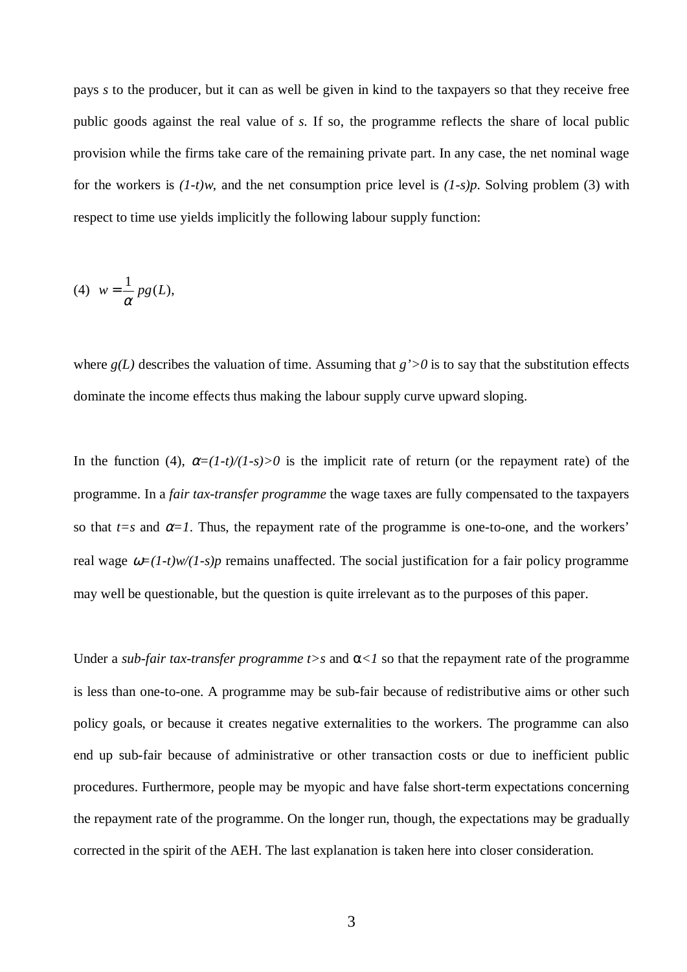pays *s* to the producer, but it can as well be given in kind to the taxpayers so that they receive free public goods against the real value of *s*. If so, the programme reflects the share of local public provision while the firms take care of the remaining private part. In any case, the net nominal wage for the workers is *(1-t)w*, and the net consumption price level is *(1-s)p*. Solving problem (3) with respect to time use yields implicitly the following labour supply function:

$$
(4) \t w = \frac{1}{\alpha} pg(L),
$$

where  $g(L)$  describes the valuation of time. Assuming that  $g' > 0$  is to say that the substitution effects dominate the income effects thus making the labour supply curve upward sloping.

In the function (4),  $\alpha = (1-t)/(1-s) > 0$  is the implicit rate of return (or the repayment rate) of the programme. In a *fair tax-transfer programme* the wage taxes are fully compensated to the taxpayers so that  $t=s$  and  $\alpha=1$ . Thus, the repayment rate of the programme is one-to-one, and the workers' real wage  $\omega = (1-t)w/(1-s)p$  remains unaffected. The social justification for a fair policy programme may well be questionable, but the question is quite irrelevant as to the purposes of this paper.

Under a *sub-fair tax-transfer programme t*>*s* and  $\alpha$ <*l* so that the repayment rate of the programme is less than one-to-one. A programme may be sub-fair because of redistributive aims or other such policy goals, or because it creates negative externalities to the workers. The programme can also end up sub-fair because of administrative or other transaction costs or due to inefficient public procedures. Furthermore, people may be myopic and have false short-term expectations concerning the repayment rate of the programme. On the longer run, though, the expectations may be gradually corrected in the spirit of the AEH. The last explanation is taken here into closer consideration.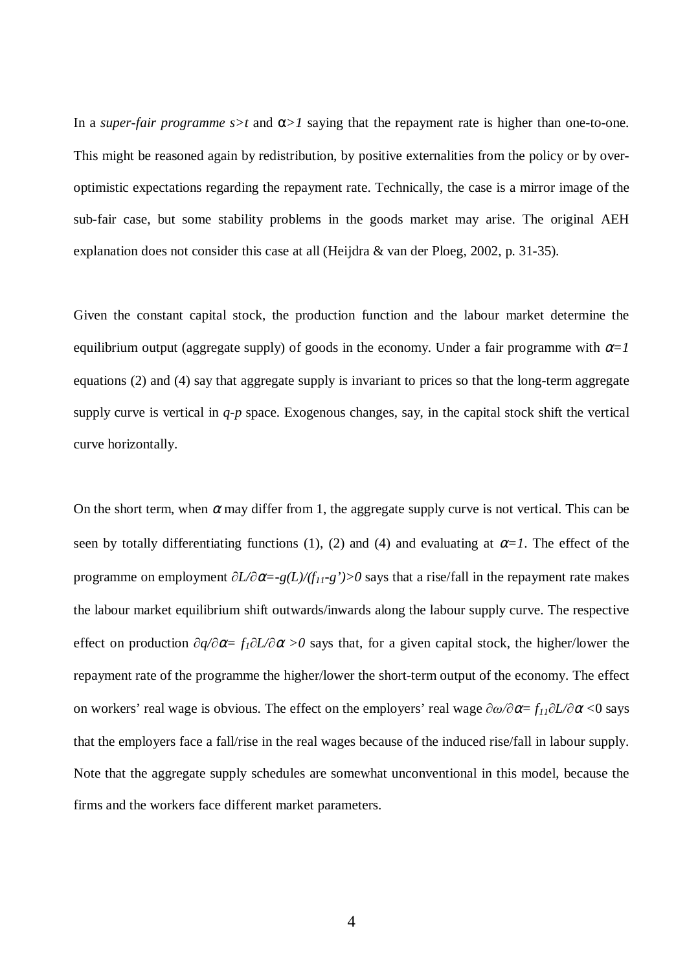In a *super-fair programme*  $s > t$  and  $\alpha > 1$  saying that the repayment rate is higher than one-to-one. This might be reasoned again by redistribution, by positive externalities from the policy or by overoptimistic expectations regarding the repayment rate. Technically, the case is a mirror image of the sub-fair case, but some stability problems in the goods market may arise. The original AEH explanation does not consider this case at all (Heijdra & van der Ploeg, 2002, p. 31-35).

Given the constant capital stock, the production function and the labour market determine the equilibrium output (aggregate supply) of goods in the economy. Under a fair programme with  $\alpha=1$ equations (2) and (4) say that aggregate supply is invariant to prices so that the long-term aggregate supply curve is vertical in *q-p* space. Exogenous changes, say, in the capital stock shift the vertical curve horizontally.

On the short term, when  $\alpha$  may differ from 1, the aggregate supply curve is not vertical. This can be seen by totally differentiating functions (1), (2) and (4) and evaluating at  $\alpha=1$ . The effect of the programme on employment  $\partial L/\partial \alpha = -g(L)/(f_{11} - g') > 0$  says that a rise/fall in the repayment rate makes the labour market equilibrium shift outwards/inwards along the labour supply curve. The respective effect on production  $\partial q/\partial \alpha = f_1 \partial L/\partial \alpha > 0$  says that, for a given capital stock, the higher/lower the repayment rate of the programme the higher/lower the short-term output of the economy. The effect on workers' real wage is obvious. The effect on the employers' real wage  $\partial \omega / \partial \alpha = f_{11} \partial L / \partial \alpha < 0$  says that the employers face a fall/rise in the real wages because of the induced rise/fall in labour supply. Note that the aggregate supply schedules are somewhat unconventional in this model, because the firms and the workers face different market parameters.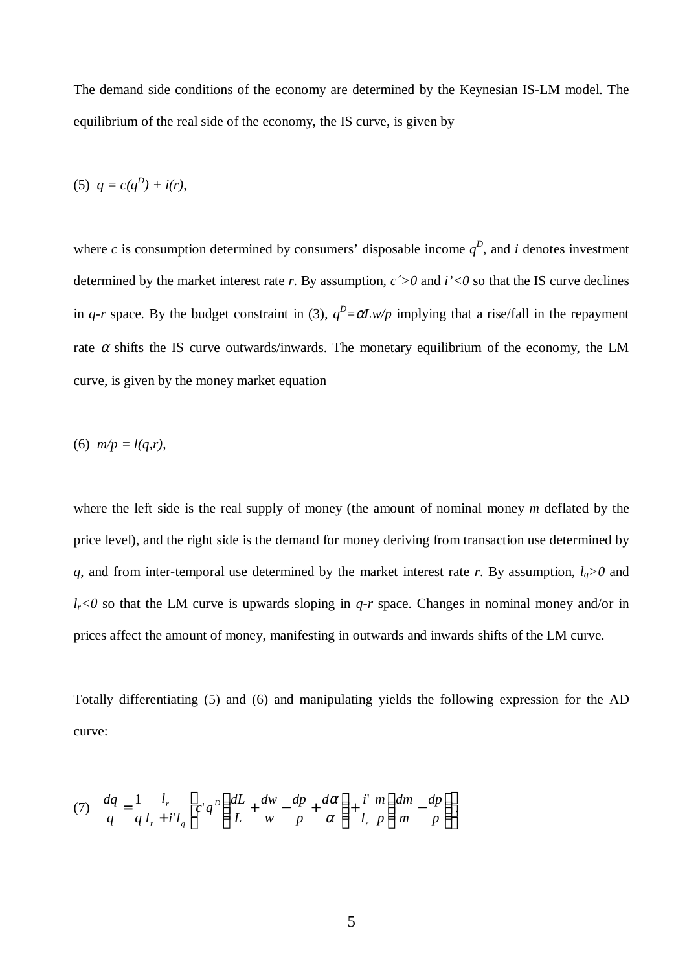The demand side conditions of the economy are determined by the Keynesian IS-LM model. The equilibrium of the real side of the economy, the IS curve, is given by

$$
(5) \quad q = c(q^D) + i(r),
$$

where *c* is consumption determined by consumers' disposable income  $q^D$ , and *i* denotes investment determined by the market interest rate *r*. By assumption,  $c$   $>$  0 and  $i$ ' $<$  0 so that the IS curve declines in *q*-r space. By the budget constraint in (3),  $q^D = \alpha L w / p$  implying that a rise/fall in the repayment rate  $\alpha$  shifts the IS curve outwards/inwards. The monetary equilibrium of the economy, the LM curve, is given by the money market equation

(6) 
$$
m/p = l(q,r)
$$
,

where the left side is the real supply of money (the amount of nominal money *m* deflated by the price level), and the right side is the demand for money deriving from transaction use determined by *q*, and from inter-temporal use determined by the market interest rate *r*. By assumption,  $l_q > 0$  and  $l_r$ <0 so that the LM curve is upwards sloping in *q-r* space. Changes in nominal money and/or in prices affect the amount of money, manifesting in outwards and inwards shifts of the LM curve.

Totally differentiating (5) and (6) and manipulating yields the following expression for the AD curve:

$$
(7) \quad \frac{dq}{q} = \frac{1}{q} \frac{l_r}{l_r + i' l_q} \left[ c' q^D \left( \frac{dL}{L} + \frac{dw}{w} - \frac{dp}{p} + \frac{d\alpha}{\alpha} \right) + \frac{i'}{l_r} \frac{m}{p} \left( \frac{dm}{m} - \frac{dp}{p} \right) \right].
$$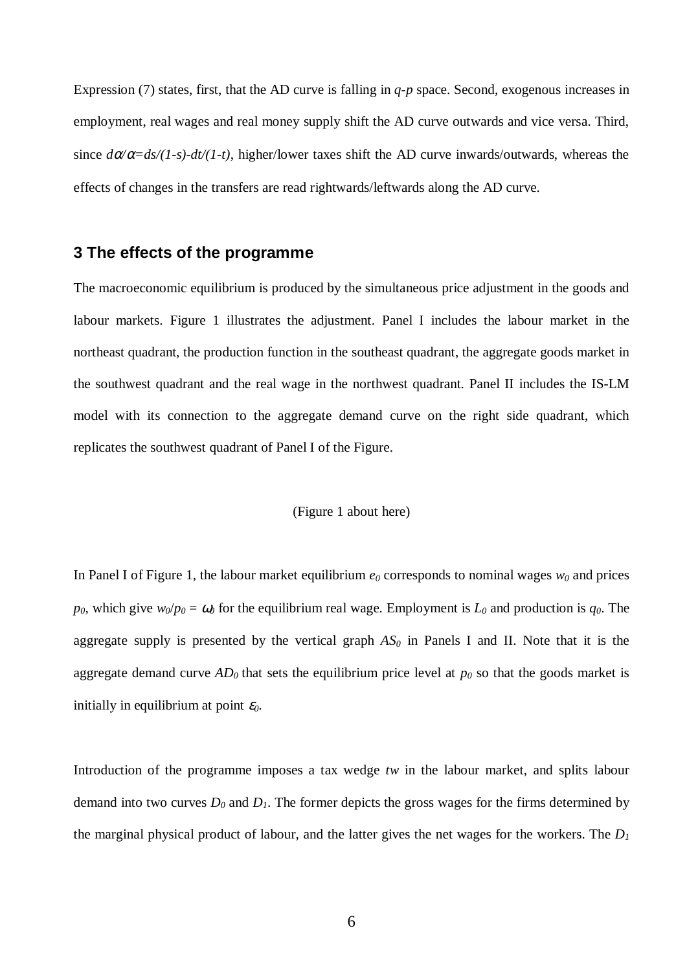Expression (7) states, first, that the AD curve is falling in *q-p* space. Second, exogenous increases in employment, real wages and real money supply shift the AD curve outwards and vice versa. Third, since  $d\alpha/\alpha = ds/(1-s) - dt/(1-t)$ , higher/lower taxes shift the AD curve inwards/outwards, whereas the effects of changes in the transfers are read rightwards/leftwards along the AD curve.

### **3 The effects of the programme**

The macroeconomic equilibrium is produced by the simultaneous price adjustment in the goods and labour markets. Figure 1 illustrates the adjustment. Panel I includes the labour market in the northeast quadrant, the production function in the southeast quadrant, the aggregate goods market in the southwest quadrant and the real wage in the northwest quadrant. Panel II includes the IS-LM model with its connection to the aggregate demand curve on the right side quadrant, which replicates the southwest quadrant of Panel I of the Figure.

#### (Figure 1 about here)

In Panel I of Figure 1, the labour market equilibrium  $e_0$  corresponds to nominal wages  $w_0$  and prices *p*<sub>0</sub>, which give  $w_0/p_0 = \omega_0$  for the equilibrium real wage. Employment is  $L_0$  and production is  $q_0$ . The aggregate supply is presented by the vertical graph  $AS<sub>0</sub>$  in Panels I and II. Note that it is the aggregate demand curve  $AD_0$  that sets the equilibrium price level at  $p_0$  so that the goods market is initially in equilibrium at point  $\varepsilon_0$ .

Introduction of the programme imposes a tax wedge *tw* in the labour market, and splits labour demand into two curves  $D_0$  and  $D_1$ . The former depicts the gross wages for the firms determined by the marginal physical product of labour, and the latter gives the net wages for the workers. The *D<sup>1</sup>*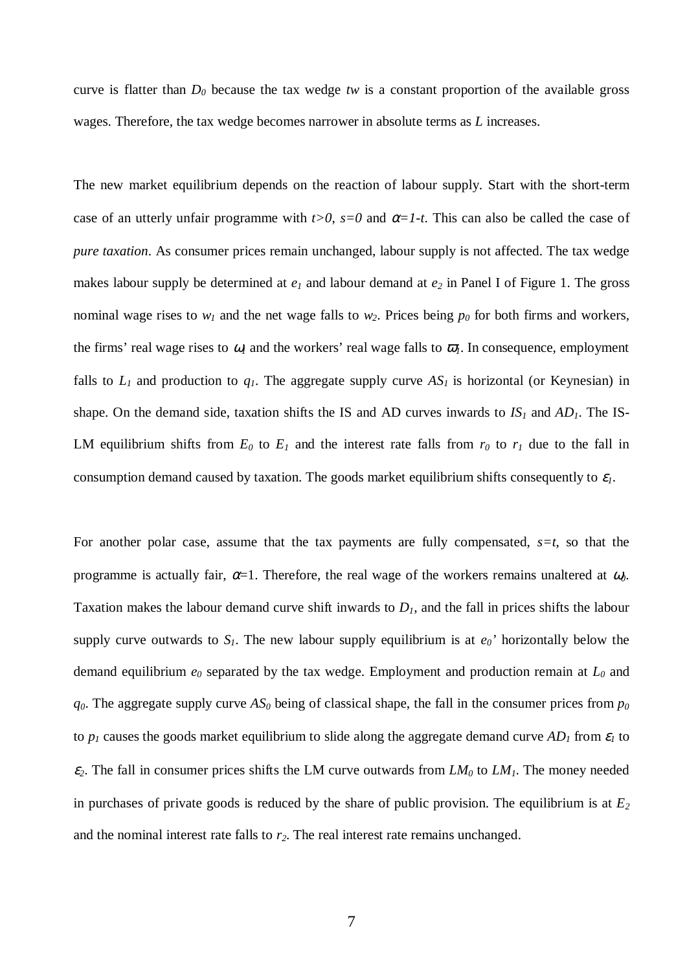curve is flatter than  $D_0$  because the tax wedge *tw* is a constant proportion of the available gross wages. Therefore, the tax wedge becomes narrower in absolute terms as *L* increases.

The new market equilibrium depends on the reaction of labour supply. Start with the short-term case of an utterly unfair programme with  $t>0$ ,  $s=0$  and  $\alpha=1$ -t. This can also be called the case of *pure taxation*. As consumer prices remain unchanged, labour supply is not affected. The tax wedge makes labour supply be determined at *e1* and labour demand at *e2* in Panel I of Figure 1. The gross nominal wage rises to  $w_1$  and the net wage falls to  $w_2$ . Prices being  $p_0$  for both firms and workers, the firms' real wage rises to  $\omega_l$  and the workers' real wage falls to  $\overline{\omega}_l$ . In consequence, employment falls to  $L_1$  and production to  $q_1$ . The aggregate supply curve  $AS_1$  is horizontal (or Keynesian) in shape. On the demand side, taxation shifts the IS and AD curves inwards to  $IS<sub>1</sub>$  and  $AD<sub>1</sub>$ . The IS-LM equilibrium shifts from  $E_0$  to  $E_1$  and the interest rate falls from  $r_0$  to  $r_1$  due to the fall in consumption demand caused by taxation. The goods market equilibrium shifts consequently to  $\varepsilon_l$ .

For another polar case, assume that the tax payments are fully compensated,  $s=t$ , so that the programme is actually fair,  $\alpha=1$ . Therefore, the real wage of the workers remains unaltered at  $\omega_0$ . Taxation makes the labour demand curve shift inwards to  $D<sub>l</sub>$ , and the fall in prices shifts the labour supply curve outwards to  $S<sub>1</sub>$ . The new labour supply equilibrium is at  $e<sub>0</sub>$ <sup>'</sup> horizontally below the demand equilibrium *e0* separated by the tax wedge. Employment and production remain at *L0* and  $q<sub>0</sub>$ . The aggregate supply curve  $AS<sub>0</sub>$  being of classical shape, the fall in the consumer prices from  $p<sub>0</sub>$ to  $p_1$  causes the goods market equilibrium to slide along the aggregate demand curve  $AD_1$  from  $\varepsilon_1$  to  $\varepsilon$ <sub>2</sub>. The fall in consumer prices shifts the LM curve outwards from  $LM_0$  to  $LM_1$ . The money needed in purchases of private goods is reduced by the share of public provision. The equilibrium is at  $E_2$ and the nominal interest rate falls to *r2*. The real interest rate remains unchanged.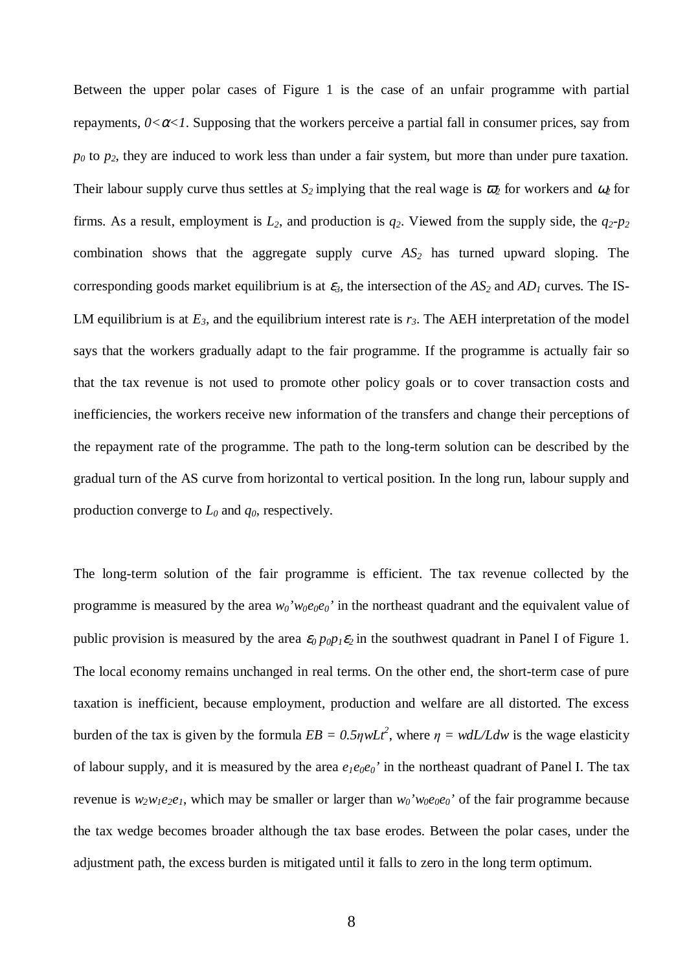Between the upper polar cases of Figure 1 is the case of an unfair programme with partial repayments,  $0 < \alpha < 1$ . Supposing that the workers perceive a partial fall in consumer prices, say from *p0* to *p2*, they are induced to work less than under a fair system, but more than under pure taxation. Their labour supply curve thus settles at  $S_2$  implying that the real wage is  $\bar{\omega}_2$  for workers and  $\omega_2$  for firms. As a result, employment is  $L_2$ , and production is  $q_2$ . Viewed from the supply side, the  $q_2$ - $p_2$ combination shows that the aggregate supply curve *AS2* has turned upward sloping. The corresponding goods market equilibrium is at  $\varepsilon_3$ , the intersection of the  $AS_2$  and  $AD_1$  curves. The IS-LM equilibrium is at  $E_3$ , and the equilibrium interest rate is  $r_3$ . The AEH interpretation of the model says that the workers gradually adapt to the fair programme. If the programme is actually fair so that the tax revenue is not used to promote other policy goals or to cover transaction costs and inefficiencies, the workers receive new information of the transfers and change their perceptions of the repayment rate of the programme. The path to the long-term solution can be described by the gradual turn of the AS curve from horizontal to vertical position. In the long run, labour supply and production converge to *L0* and *q0*, respectively.

The long-term solution of the fair programme is efficient. The tax revenue collected by the programme is measured by the area  $w_0$ ' $w_0e_0e_0$ ' in the northeast quadrant and the equivalent value of public provision is measured by the area  $\varepsilon_0 p_0 p_1 \varepsilon_2$  in the southwest quadrant in Panel I of Figure 1. The local economy remains unchanged in real terms. On the other end, the short-term case of pure taxation is inefficient, because employment, production and welfare are all distorted. The excess burden of the tax is given by the formula  $EB = 0.5\eta wLt^2$ , where  $\eta = w dL/Ldw$  is the wage elasticity of labour supply, and it is measured by the area  $e_I e_0 e_0$ ' in the northeast quadrant of Panel I. The tax revenue is  $w_2w_1e_2e_1$ , which may be smaller or larger than  $w_0'w_0e_0e_0'$  of the fair programme because the tax wedge becomes broader although the tax base erodes. Between the polar cases, under the adjustment path, the excess burden is mitigated until it falls to zero in the long term optimum.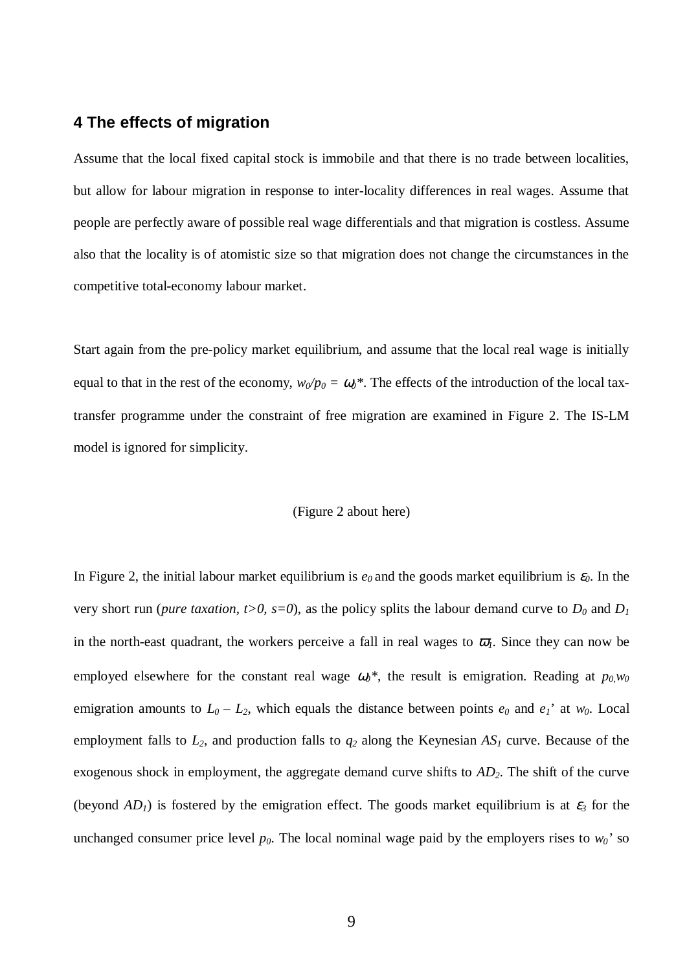## **4 The effects of migration**

Assume that the local fixed capital stock is immobile and that there is no trade between localities, but allow for labour migration in response to inter-locality differences in real wages. Assume that people are perfectly aware of possible real wage differentials and that migration is costless. Assume also that the locality is of atomistic size so that migration does not change the circumstances in the competitive total-economy labour market.

Start again from the pre-policy market equilibrium, and assume that the local real wage is initially equal to that in the rest of the economy,  $w_0/p_0 = \omega_0^*$ . The effects of the introduction of the local taxtransfer programme under the constraint of free migration are examined in Figure 2. The IS-LM model is ignored for simplicity.

#### (Figure 2 about here)

In Figure 2, the initial labour market equilibrium is  $e_0$  and the goods market equilibrium is  $\varepsilon_0$ . In the very short run (*pure taxation, t*>0, *s*=0), as the policy splits the labour demand curve to  $D_0$  and  $D_1$ in the north-east quadrant, the workers perceive a fall in real wages to  $\bar{\omega}_l$ . Since they can now be employed elsewhere for the constant real wage  $\omega_0$ <sup>\*</sup>, the result is emigration. Reading at  $p_0w_0$ emigration amounts to  $L_0 - L_2$ , which equals the distance between points  $e_0$  and  $e_1$ ' at  $w_0$ . Local employment falls to *L2*, and production falls to *q2* along the Keynesian *AS1* curve. Because of the exogenous shock in employment, the aggregate demand curve shifts to *AD2*. The shift of the curve (beyond  $AD_I$ ) is fostered by the emigration effect. The goods market equilibrium is at  $\varepsilon_3$  for the unchanged consumer price level  $p_0$ . The local nominal wage paid by the employers rises to  $w_0$ <sup>'</sup> so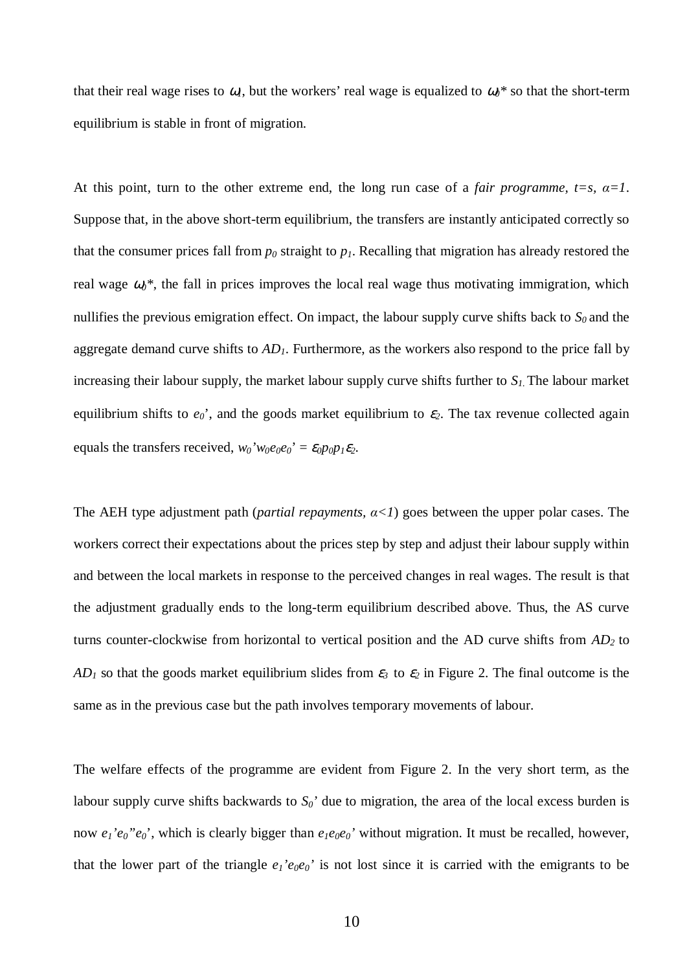that their real wage rises to  $\omega_l$ , but the workers' real wage is equalized to  $\omega_l$ <sup>\*</sup> so that the short-term equilibrium is stable in front of migration.

At this point, turn to the other extreme end, the long run case of a *fair programme, t=s,*  $\alpha=1$ *.* Suppose that, in the above short-term equilibrium, the transfers are instantly anticipated correctly so that the consumer prices fall from  $p_0$  straight to  $p_1$ . Recalling that migration has already restored the real wage  $\omega_0^*$ , the fall in prices improves the local real wage thus motivating immigration, which nullifies the previous emigration effect. On impact, the labour supply curve shifts back to  $S_0$  and the aggregate demand curve shifts to *AD1*. Furthermore, as the workers also respond to the price fall by increasing their labour supply, the market labour supply curve shifts further to *S1.* The labour market equilibrium shifts to  $e_0$ <sup>'</sup>, and the goods market equilibrium to  $\varepsilon_2$ . The tax revenue collected again equals the transfers received,  $w_0'w_0e_0e_0' = \varepsilon_0p_0p_1\varepsilon_2$ .

The AEH type adjustment path (*partial repayments,*  $\alpha \langle 1 \rangle$  goes between the upper polar cases. The workers correct their expectations about the prices step by step and adjust their labour supply within and between the local markets in response to the perceived changes in real wages. The result is that the adjustment gradually ends to the long-term equilibrium described above. Thus, the AS curve turns counter-clockwise from horizontal to vertical position and the AD curve shifts from *AD<sup>2</sup>* to *AD*<sup>1</sup> so that the goods market equilibrium slides from  $\varepsilon_3$  to  $\varepsilon_2$  in Figure 2. The final outcome is the same as in the previous case but the path involves temporary movements of labour.

The welfare effects of the programme are evident from Figure 2. In the very short term, as the labour supply curve shifts backwards to  $S_0'$  due to migration, the area of the local excess burden is now  $e_1$ ' $e_0$ " $e_0$ ', which is clearly bigger than  $e_1e_0e_0$ ' without migration. It must be recalled, however, that the lower part of the triangle  $e_1$ ' $e_0e_0$ ' is not lost since it is carried with the emigrants to be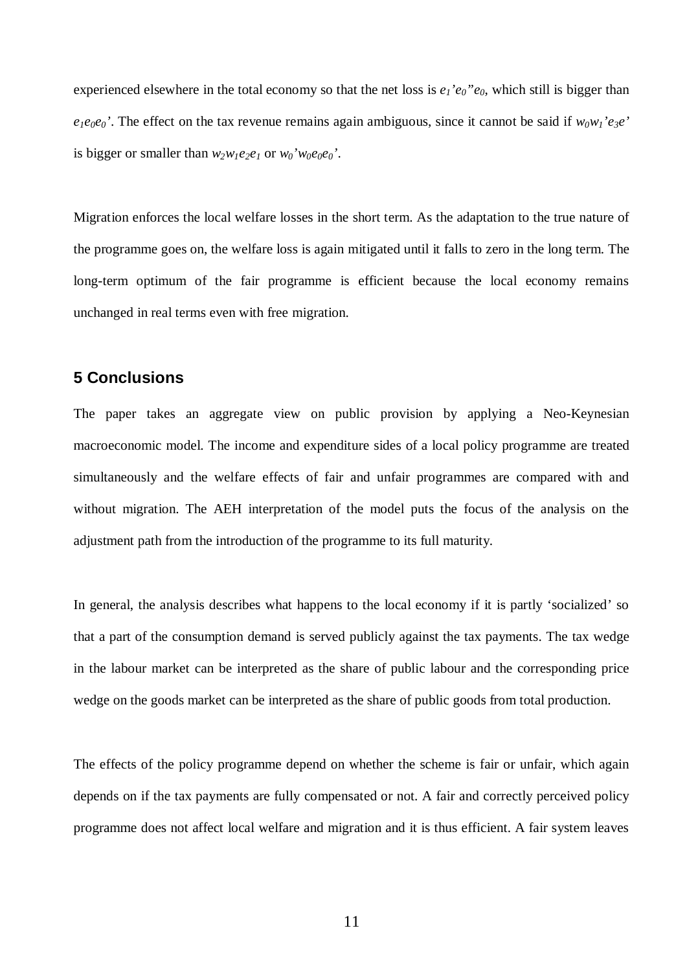experienced elsewhere in the total economy so that the net loss is  $e_1$ ' $e_0$ " $e_0$ , which still is bigger than  $e_1e_0e_0$ '. The effect on the tax revenue remains again ambiguous, since it cannot be said if  $w_0w_1'e_3e'$ is bigger or smaller than  $w_2w_1e_2e_1$  or  $w_0'w_0e_0e_0'$ .

Migration enforces the local welfare losses in the short term. As the adaptation to the true nature of the programme goes on, the welfare loss is again mitigated until it falls to zero in the long term. The long-term optimum of the fair programme is efficient because the local economy remains unchanged in real terms even with free migration.

## **5 Conclusions**

The paper takes an aggregate view on public provision by applying a Neo-Keynesian macroeconomic model. The income and expenditure sides of a local policy programme are treated simultaneously and the welfare effects of fair and unfair programmes are compared with and without migration. The AEH interpretation of the model puts the focus of the analysis on the adjustment path from the introduction of the programme to its full maturity.

In general, the analysis describes what happens to the local economy if it is partly 'socialized' so that a part of the consumption demand is served publicly against the tax payments. The tax wedge in the labour market can be interpreted as the share of public labour and the corresponding price wedge on the goods market can be interpreted as the share of public goods from total production.

The effects of the policy programme depend on whether the scheme is fair or unfair, which again depends on if the tax payments are fully compensated or not. A fair and correctly perceived policy programme does not affect local welfare and migration and it is thus efficient. A fair system leaves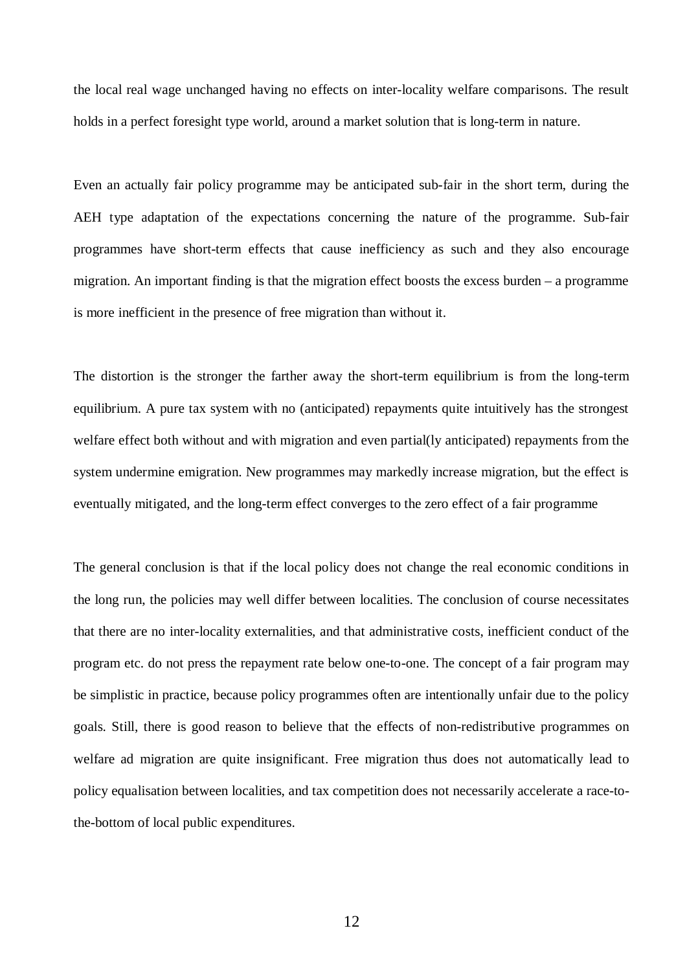the local real wage unchanged having no effects on inter-locality welfare comparisons. The result holds in a perfect foresight type world, around a market solution that is long-term in nature.

Even an actually fair policy programme may be anticipated sub-fair in the short term, during the AEH type adaptation of the expectations concerning the nature of the programme. Sub-fair programmes have short-term effects that cause inefficiency as such and they also encourage migration. An important finding is that the migration effect boosts the excess burden – a programme is more inefficient in the presence of free migration than without it.

The distortion is the stronger the farther away the short-term equilibrium is from the long-term equilibrium. A pure tax system with no (anticipated) repayments quite intuitively has the strongest welfare effect both without and with migration and even partial(ly anticipated) repayments from the system undermine emigration. New programmes may markedly increase migration, but the effect is eventually mitigated, and the long-term effect converges to the zero effect of a fair programme

The general conclusion is that if the local policy does not change the real economic conditions in the long run, the policies may well differ between localities. The conclusion of course necessitates that there are no inter-locality externalities, and that administrative costs, inefficient conduct of the program etc. do not press the repayment rate below one-to-one. The concept of a fair program may be simplistic in practice, because policy programmes often are intentionally unfair due to the policy goals. Still, there is good reason to believe that the effects of non-redistributive programmes on welfare ad migration are quite insignificant. Free migration thus does not automatically lead to policy equalisation between localities, and tax competition does not necessarily accelerate a race-tothe-bottom of local public expenditures.

12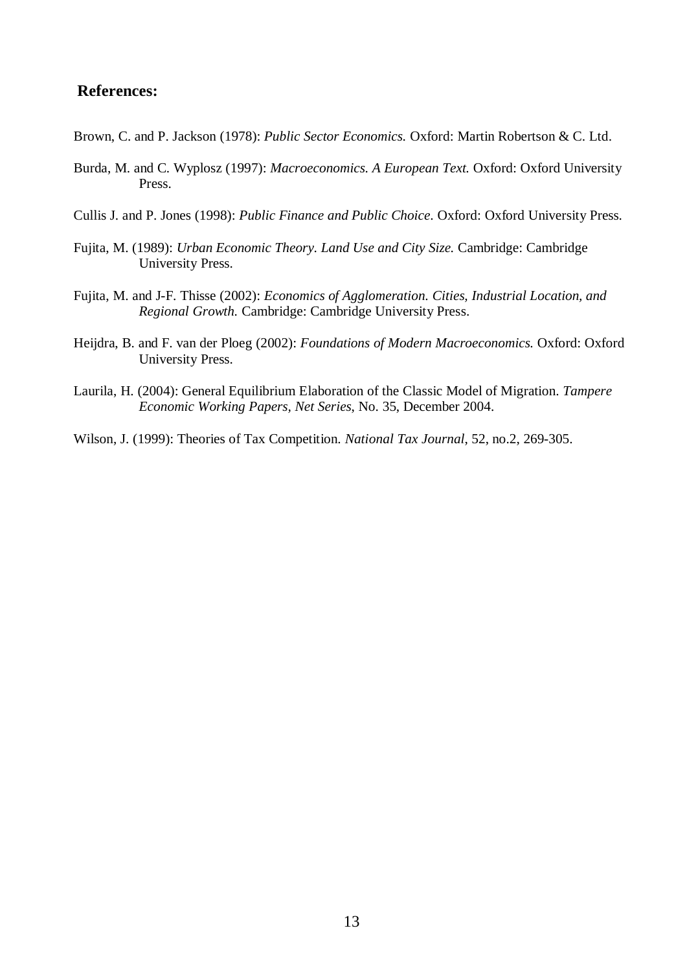## **References:**

- Brown, C. and P. Jackson (1978): *Public Sector Economics.* Oxford: Martin Robertson & C. Ltd.
- Burda, M. and C. Wyplosz (1997): *Macroeconomics. A European Text.* Oxford: Oxford University Press.
- Cullis J. and P. Jones (1998): *Public Finance and Public Choice*. Oxford: Oxford University Press.
- Fujita, M. (1989): *Urban Economic Theory. Land Use and City Size.* Cambridge: Cambridge University Press.
- Fujita, M. and J-F. Thisse (2002): *Economics of Agglomeration. Cities, Industrial Location, and Regional Growth.* Cambridge: Cambridge University Press.
- Heijdra, B. and F. van der Ploeg (2002): *Foundations of Modern Macroeconomics.* Oxford: Oxford University Press.
- Laurila, H. (2004): General Equilibrium Elaboration of the Classic Model of Migration. *Tampere Economic Working Papers, Net Series*, No. 35, December 2004.
- Wilson, J. (1999): Theories of Tax Competition. *National Tax Journal*, 52, no.2, 269-305.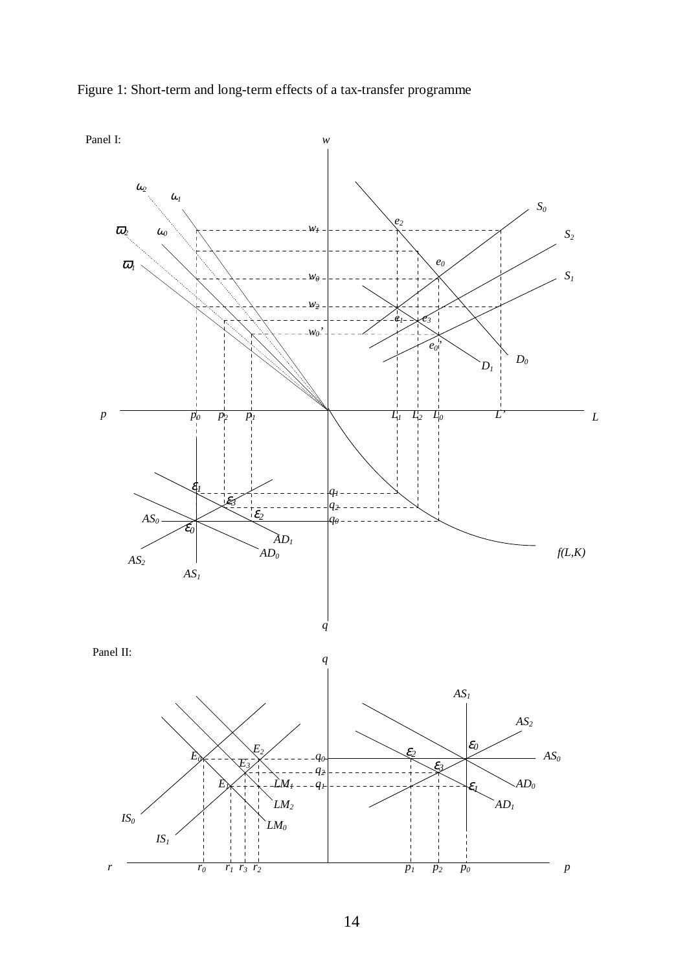